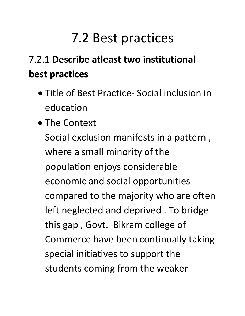## 7.2 Best practices

## 7.2.**1 Describe atleast two institutional best practices**

- Title of Best Practice- Social inclusion in education
- The Context

Social exclusion manifests in a pattern , where a small minority of the population enjoys considerable economic and social opportunities compared to the majority who are often left neglected and deprived . To bridge this gap , Govt. Bikram college of Commerce have been continually taking special initiatives to support the students coming from the weaker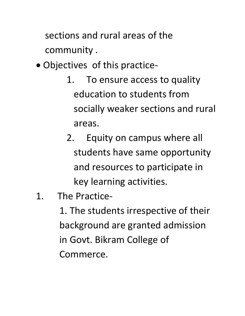sections and rural areas of the community .

- Objectives of this practice-
	- 1. To ensure access to quality education to students from socially weaker sections and rural areas.
	- 2. Equity on campus where all students have same opportunity and resources to participate in key learning activities.
- 1. The Practice-
	- 1. The students irrespective of their background are granted admission in Govt. Bikram College of Commerce.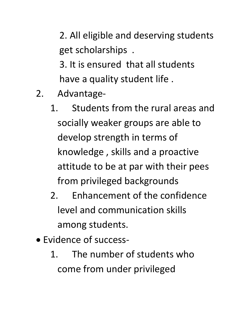2. All eligible and deserving students get scholarships . 3. It is ensured that all students have a quality student life .

- 2. Advantage-
	- 1. Students from the rural areas and socially weaker groups are able to develop strength in terms of knowledge , skills and a proactive attitude to be at par with their pees from privileged backgrounds
	- 2. Enhancement of the confidence level and communication skills among students.
- Evidence of success-
	- 1. The number of students who come from under privileged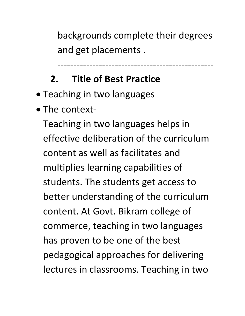backgrounds complete their degrees and get placements .

-------------------------------------------------

## **2. Title of Best Practice**

- Teaching in two languages
- The context-

Teaching in two languages helps in effective deliberation of the curriculum content as well as facilitates and multiplies learning capabilities of students. The students get access to better understanding of the curriculum content. At Govt. Bikram college of commerce, teaching in two languages has proven to be one of the best pedagogical approaches for delivering lectures in classrooms. Teaching in two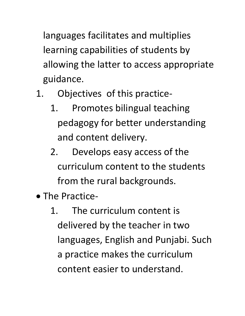languages facilitates and multiplies learning capabilities of students by allowing the latter to access appropriate guidance.

- 1. Objectives of this practice-
	- 1. Promotes bilingual teaching pedagogy for better understanding and content delivery.
	- 2. Develops easy access of the curriculum content to the students from the rural backgrounds.
- The Practice-
	- 1. The curriculum content is delivered by the teacher in two languages, English and Punjabi. Such a practice makes the curriculum content easier to understand.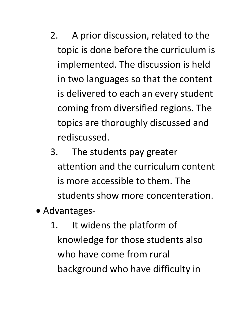- 2. A prior discussion, related to the topic is done before the curriculum is implemented. The discussion is held in two languages so that the content is delivered to each an every student coming from diversified regions. The topics are thoroughly discussed and rediscussed.
- 3. The students pay greater attention and the curriculum content is more accessible to them. The students show more concenteration.
- Advantages-
	- 1. It widens the platform of knowledge for those students also who have come from rural background who have difficulty in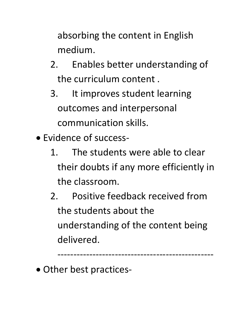absorbing the content in English medium.

- 2. Enables better understanding of the curriculum content .
- 3. It improves student learning outcomes and interpersonal communication skills.
- Evidence of success-
	- 1. The students were able to clear their doubts if any more efficiently in the classroom.
	- 2. Positive feedback received from the students about the understanding of the content being delivered.

-------------------------------------------------

• Other best practices-